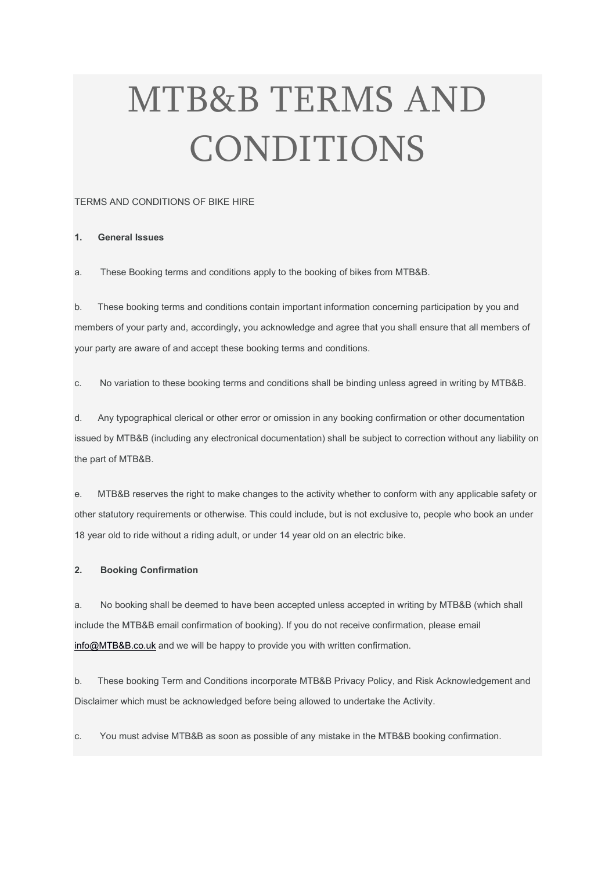# MTB&B TERMS AND CONDITIONS

## TERMS AND CONDITIONS OF BIKE HIRE

## 1. General Issues

a. These Booking terms and conditions apply to the booking of bikes from MTB&B.

b. These booking terms and conditions contain important information concerning participation by you and members of your party and, accordingly, you acknowledge and agree that you shall ensure that all members of your party are aware of and accept these booking terms and conditions.

c. No variation to these booking terms and conditions shall be binding unless agreed in writing by MTB&B.

d. Any typographical clerical or other error or omission in any booking confirmation or other documentation issued by MTB&B (including any electronical documentation) shall be subject to correction without any liability on the part of MTB&B.

e. MTB&B reserves the right to make changes to the activity whether to conform with any applicable safety or other statutory requirements or otherwise. This could include, but is not exclusive to, people who book an under 18 year old to ride without a riding adult, or under 14 year old on an electric bike.

## 2. Booking Confirmation

a. No booking shall be deemed to have been accepted unless accepted in writing by MTB&B (which shall include the MTB&B email confirmation of booking). If you do not receive confirmation, please email info@MTB&B.co.uk and we will be happy to provide you with written confirmation.

b. These booking Term and Conditions incorporate MTB&B Privacy Policy, and Risk Acknowledgement and Disclaimer which must be acknowledged before being allowed to undertake the Activity.

c. You must advise MTB&B as soon as possible of any mistake in the MTB&B booking confirmation.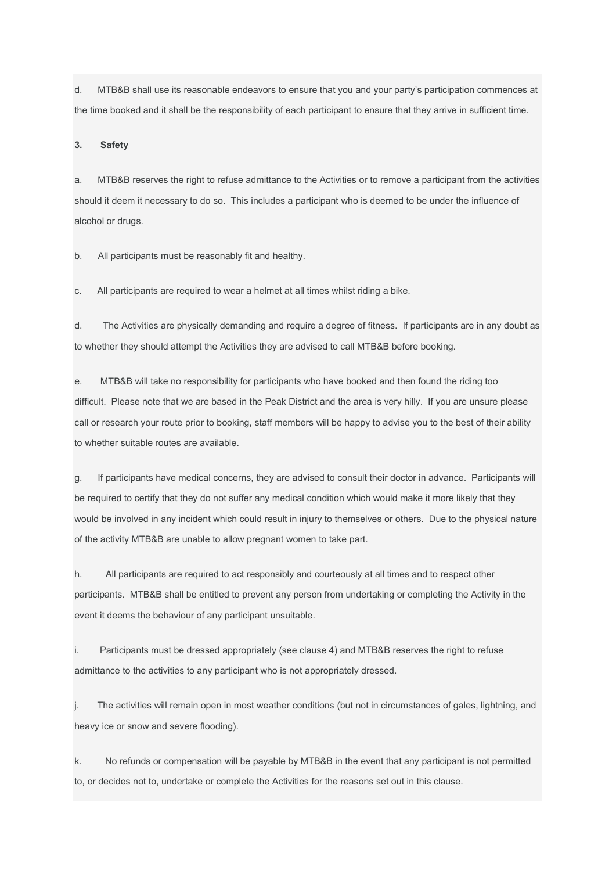d. MTB&B shall use its reasonable endeavors to ensure that you and your party's participation commences at the time booked and it shall be the responsibility of each participant to ensure that they arrive in sufficient time.

#### 3. Safety

a. MTB&B reserves the right to refuse admittance to the Activities or to remove a participant from the activities should it deem it necessary to do so. This includes a participant who is deemed to be under the influence of alcohol or drugs.

b. All participants must be reasonably fit and healthy.

c. All participants are required to wear a helmet at all times whilst riding a bike.

d. The Activities are physically demanding and require a degree of fitness. If participants are in any doubt as to whether they should attempt the Activities they are advised to call MTB&B before booking.

e. MTB&B will take no responsibility for participants who have booked and then found the riding too difficult. Please note that we are based in the Peak District and the area is very hilly. If you are unsure please call or research your route prior to booking, staff members will be happy to advise you to the best of their ability to whether suitable routes are available.

g. If participants have medical concerns, they are advised to consult their doctor in advance. Participants will be required to certify that they do not suffer any medical condition which would make it more likely that they would be involved in any incident which could result in injury to themselves or others. Due to the physical nature of the activity MTB&B are unable to allow pregnant women to take part.

h. All participants are required to act responsibly and courteously at all times and to respect other participants. MTB&B shall be entitled to prevent any person from undertaking or completing the Activity in the event it deems the behaviour of any participant unsuitable.

i. Participants must be dressed appropriately (see clause 4) and MTB&B reserves the right to refuse admittance to the activities to any participant who is not appropriately dressed.

j. The activities will remain open in most weather conditions (but not in circumstances of gales, lightning, and heavy ice or snow and severe flooding).

k. No refunds or compensation will be payable by MTB&B in the event that any participant is not permitted to, or decides not to, undertake or complete the Activities for the reasons set out in this clause.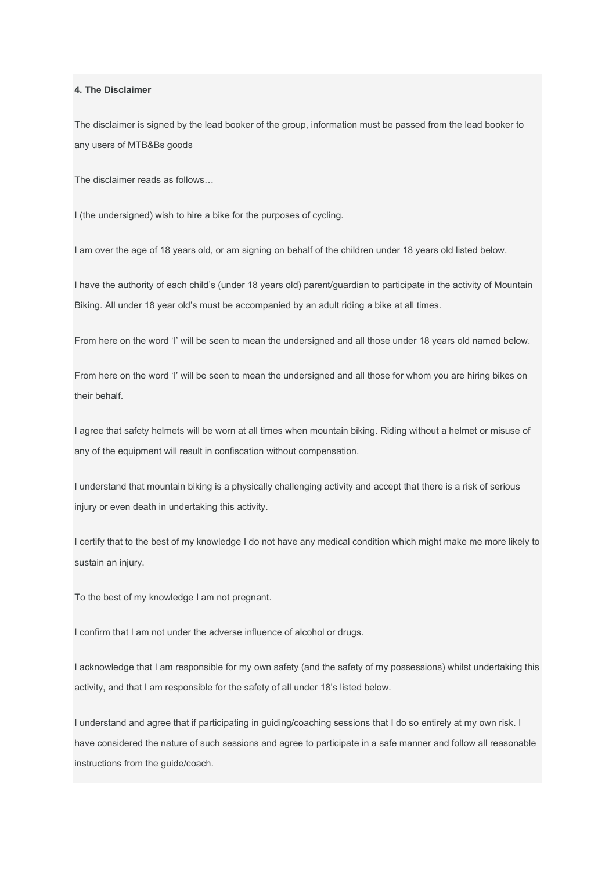4. The Disclaimer

The disclaimer is signed by the lead booker of the group, information must be passed from the lead booker to any users of MTB&Bs goods

The disclaimer reads as follows…

I (the undersigned) wish to hire a bike for the purposes of cycling.

I am over the age of 18 years old, or am signing on behalf of the children under 18 years old listed below.

I have the authority of each child's (under 18 years old) parent/guardian to participate in the activity of Mountain Biking. All under 18 year old's must be accompanied by an adult riding a bike at all times.

From here on the word 'I' will be seen to mean the undersigned and all those under 18 years old named below.

From here on the word 'I' will be seen to mean the undersigned and all those for whom you are hiring bikes on their behalf.

I agree that safety helmets will be worn at all times when mountain biking. Riding without a helmet or misuse of any of the equipment will result in confiscation without compensation.

I understand that mountain biking is a physically challenging activity and accept that there is a risk of serious injury or even death in undertaking this activity.

I certify that to the best of my knowledge I do not have any medical condition which might make me more likely to sustain an injury.

To the best of my knowledge I am not pregnant.

I confirm that I am not under the adverse influence of alcohol or drugs.

I acknowledge that I am responsible for my own safety (and the safety of my possessions) whilst undertaking this activity, and that I am responsible for the safety of all under 18's listed below.

I understand and agree that if participating in guiding/coaching sessions that I do so entirely at my own risk. I have considered the nature of such sessions and agree to participate in a safe manner and follow all reasonable instructions from the guide/coach.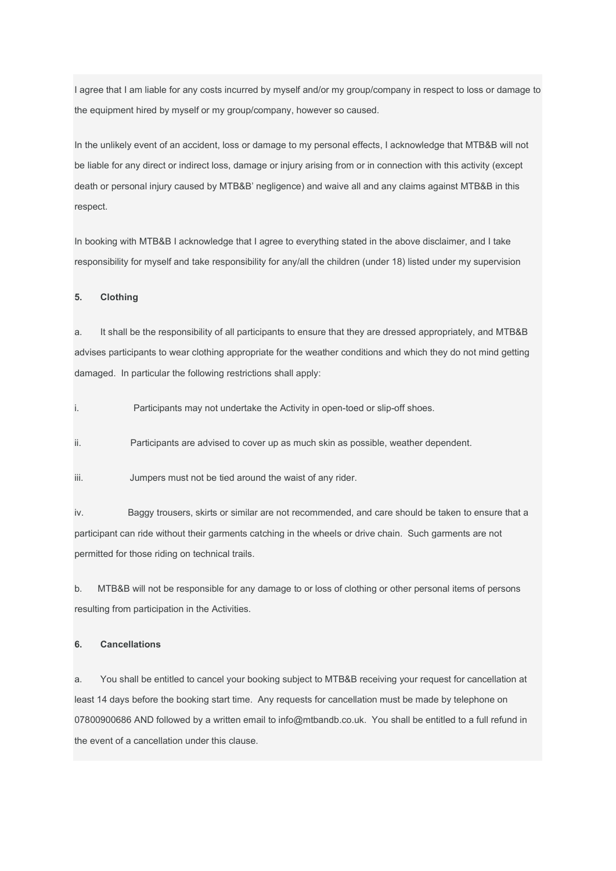I agree that I am liable for any costs incurred by myself and/or my group/company in respect to loss or damage to the equipment hired by myself or my group/company, however so caused.

In the unlikely event of an accident, loss or damage to my personal effects, I acknowledge that MTB&B will not be liable for any direct or indirect loss, damage or injury arising from or in connection with this activity (except death or personal injury caused by MTB&B' negligence) and waive all and any claims against MTB&B in this respect.

In booking with MTB&B I acknowledge that I agree to everything stated in the above disclaimer, and I take responsibility for myself and take responsibility for any/all the children (under 18) listed under my supervision

#### 5. Clothing

a. It shall be the responsibility of all participants to ensure that they are dressed appropriately, and MTB&B advises participants to wear clothing appropriate for the weather conditions and which they do not mind getting damaged. In particular the following restrictions shall apply:

i. Participants may not undertake the Activity in open-toed or slip-off shoes.

ii. Participants are advised to cover up as much skin as possible, weather dependent.

iii. Jumpers must not be tied around the waist of any rider.

iv. Baggy trousers, skirts or similar are not recommended, and care should be taken to ensure that a participant can ride without their garments catching in the wheels or drive chain. Such garments are not permitted for those riding on technical trails.

b. MTB&B will not be responsible for any damage to or loss of clothing or other personal items of persons resulting from participation in the Activities.

#### 6. Cancellations

a. You shall be entitled to cancel your booking subject to MTB&B receiving your request for cancellation at least 14 days before the booking start time. Any requests for cancellation must be made by telephone on 07800900686 AND followed by a written email to info@mtbandb.co.uk. You shall be entitled to a full refund in the event of a cancellation under this clause.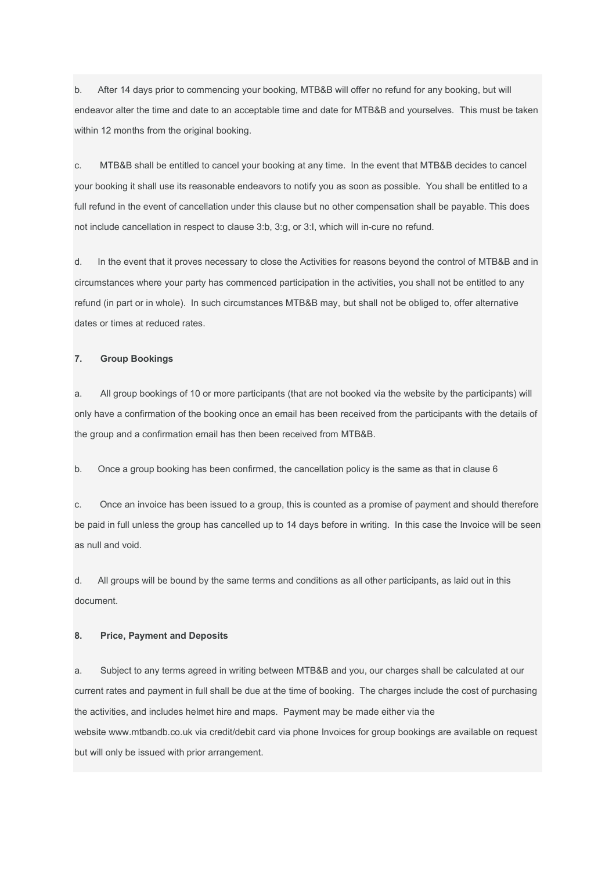b. After 14 days prior to commencing your booking, MTB&B will offer no refund for any booking, but will endeavor alter the time and date to an acceptable time and date for MTB&B and yourselves. This must be taken within 12 months from the original booking.

c. MTB&B shall be entitled to cancel your booking at any time. In the event that MTB&B decides to cancel your booking it shall use its reasonable endeavors to notify you as soon as possible. You shall be entitled to a full refund in the event of cancellation under this clause but no other compensation shall be payable. This does not include cancellation in respect to clause 3:b, 3:g, or 3:I, which will in-cure no refund.

d. In the event that it proves necessary to close the Activities for reasons beyond the control of MTB&B and in circumstances where your party has commenced participation in the activities, you shall not be entitled to any refund (in part or in whole). In such circumstances MTB&B may, but shall not be obliged to, offer alternative dates or times at reduced rates.

## 7. Group Bookings

a. All group bookings of 10 or more participants (that are not booked via the website by the participants) will only have a confirmation of the booking once an email has been received from the participants with the details of the group and a confirmation email has then been received from MTB&B.

b. Once a group booking has been confirmed, the cancellation policy is the same as that in clause 6

c. Once an invoice has been issued to a group, this is counted as a promise of payment and should therefore be paid in full unless the group has cancelled up to 14 days before in writing. In this case the Invoice will be seen as null and void.

d. All groups will be bound by the same terms and conditions as all other participants, as laid out in this document.

#### 8. Price, Payment and Deposits

a. Subject to any terms agreed in writing between MTB&B and you, our charges shall be calculated at our current rates and payment in full shall be due at the time of booking. The charges include the cost of purchasing the activities, and includes helmet hire and maps. Payment may be made either via the website www.mtbandb.co.uk via credit/debit card via phone Invoices for group bookings are available on request but will only be issued with prior arrangement.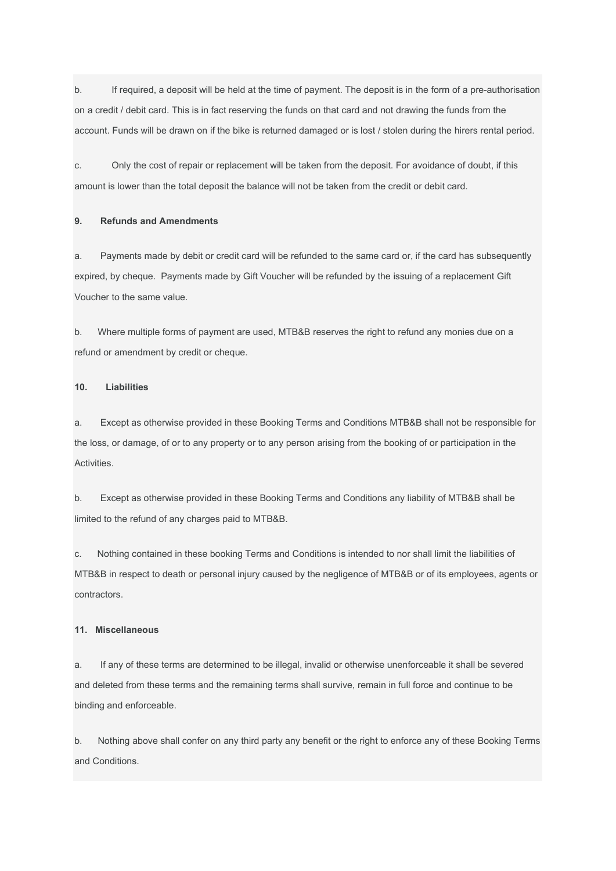b. If required, a deposit will be held at the time of payment. The deposit is in the form of a pre-authorisation on a credit / debit card. This is in fact reserving the funds on that card and not drawing the funds from the account. Funds will be drawn on if the bike is returned damaged or is lost / stolen during the hirers rental period.

c. Only the cost of repair or replacement will be taken from the deposit. For avoidance of doubt, if this amount is lower than the total deposit the balance will not be taken from the credit or debit card.

## 9. Refunds and Amendments

a. Payments made by debit or credit card will be refunded to the same card or, if the card has subsequently expired, by cheque. Payments made by Gift Voucher will be refunded by the issuing of a replacement Gift Voucher to the same value.

b. Where multiple forms of payment are used, MTB&B reserves the right to refund any monies due on a refund or amendment by credit or cheque.

### 10. Liabilities

a. Except as otherwise provided in these Booking Terms and Conditions MTB&B shall not be responsible for the loss, or damage, of or to any property or to any person arising from the booking of or participation in the Activities.

b. Except as otherwise provided in these Booking Terms and Conditions any liability of MTB&B shall be limited to the refund of any charges paid to MTB&B.

c. Nothing contained in these booking Terms and Conditions is intended to nor shall limit the liabilities of MTB&B in respect to death or personal injury caused by the negligence of MTB&B or of its employees, agents or contractors.

#### 11. Miscellaneous

a. If any of these terms are determined to be illegal, invalid or otherwise unenforceable it shall be severed and deleted from these terms and the remaining terms shall survive, remain in full force and continue to be binding and enforceable.

b. Nothing above shall confer on any third party any benefit or the right to enforce any of these Booking Terms and Conditions.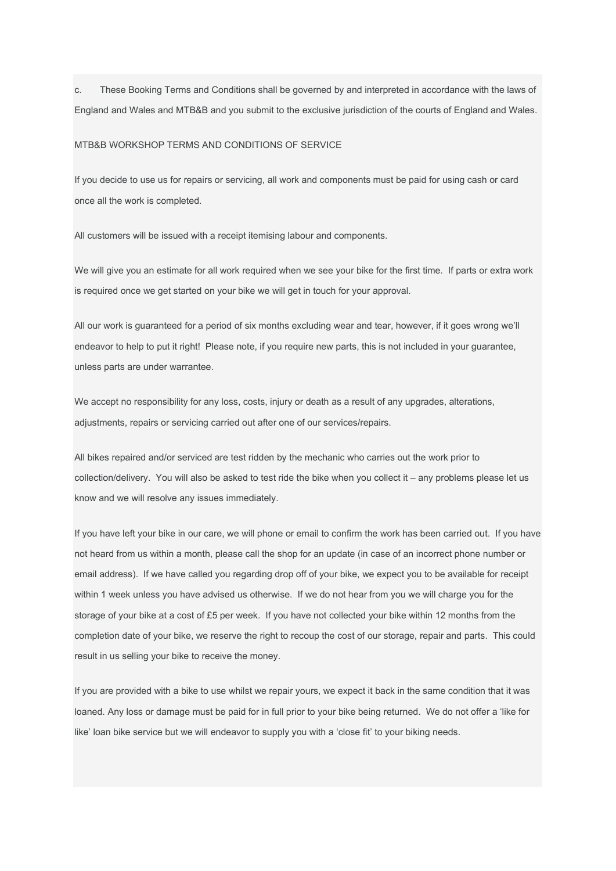c. These Booking Terms and Conditions shall be governed by and interpreted in accordance with the laws of England and Wales and MTB&B and you submit to the exclusive jurisdiction of the courts of England and Wales.

#### MTB&B WORKSHOP TERMS AND CONDITIONS OF SERVICE

If you decide to use us for repairs or servicing, all work and components must be paid for using cash or card once all the work is completed.

All customers will be issued with a receipt itemising labour and components.

We will give you an estimate for all work required when we see your bike for the first time. If parts or extra work is required once we get started on your bike we will get in touch for your approval.

All our work is guaranteed for a period of six months excluding wear and tear, however, if it goes wrong we'll endeavor to help to put it right! Please note, if you require new parts, this is not included in your guarantee, unless parts are under warrantee.

We accept no responsibility for any loss, costs, injury or death as a result of any upgrades, alterations, adjustments, repairs or servicing carried out after one of our services/repairs.

All bikes repaired and/or serviced are test ridden by the mechanic who carries out the work prior to collection/delivery. You will also be asked to test ride the bike when you collect it – any problems please let us know and we will resolve any issues immediately.

If you have left your bike in our care, we will phone or email to confirm the work has been carried out. If you have not heard from us within a month, please call the shop for an update (in case of an incorrect phone number or email address). If we have called you regarding drop off of your bike, we expect you to be available for receipt within 1 week unless you have advised us otherwise. If we do not hear from you we will charge you for the storage of your bike at a cost of £5 per week. If you have not collected your bike within 12 months from the completion date of your bike, we reserve the right to recoup the cost of our storage, repair and parts. This could result in us selling your bike to receive the money.

If you are provided with a bike to use whilst we repair yours, we expect it back in the same condition that it was loaned. Any loss or damage must be paid for in full prior to your bike being returned. We do not offer a 'like for like' loan bike service but we will endeavor to supply you with a 'close fit' to your biking needs.